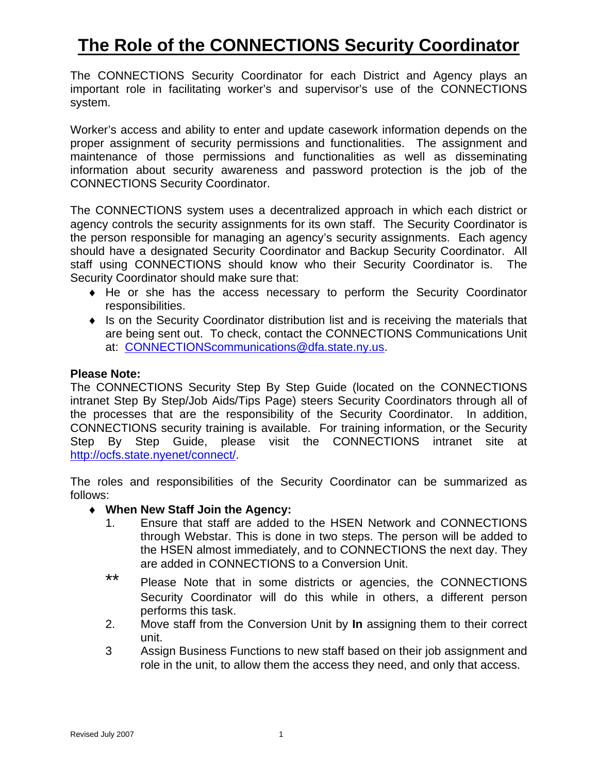# **The Role of the CONNECTIONS Security Coordinator**

The CONNECTIONS Security Coordinator for each District and Agency plays an important role in facilitating worker's and supervisor's use of the CONNECTIONS system.

Worker's access and ability to enter and update casework information depends on the proper assignment of security permissions and functionalities. The assignment and maintenance of those permissions and functionalities as well as disseminating information about security awareness and password protection is the job of the CONNECTIONS Security Coordinator.

The CONNECTIONS system uses a decentralized approach in which each district or agency controls the security assignments for its own staff. The Security Coordinator is the person responsible for managing an agency's security assignments. Each agency should have a designated Security Coordinator and Backup Security Coordinator. All staff using CONNECTIONS should know who their Security Coordinator is. The Security Coordinator should make sure that:

- ♦ He or she has the access necessary to perform the Security Coordinator responsibilities.
- ♦ Is on the Security Coordinator distribution list and is receiving the materials that are being sent out. To check, contact the CONNECTIONS Communications Unit at: [CONNECTIONScommunications@dfa.state.ny.us.](mailto:CONNECTIONScommunications@dfa.state.ny.us?subject=Security%20Coordinator%20Information)

## **Please Note:**

The CONNECTIONS Security Step By Step Guide (located on the CONNECTIONS intranet Step By Step/Job Aids/Tips Page) steers Security Coordinators through all of the processes that are the responsibility of the Security Coordinator. In addition, CONNECTIONS security training is available. For training information, or the Security Step By Step Guide, please visit the CONNECTIONS intranet site at [http://ocfs.state.nyenet/connect/.](http://ocfs.state.nyenet/connect/)

The roles and responsibilities of the Security Coordinator can be summarized as follows:

- ♦ **When New Staff Join the Agency:**
	- 1. Ensure that staff are added to the HSEN Network and CONNECTIONS through Webstar. This is done in two steps. The person will be added to the HSEN almost immediately, and to CONNECTIONS the next day. They are added in CONNECTIONS to a Conversion Unit.
	- \*\* Please Note that in some districts or agencies, the CONNECTIONS Security Coordinator will do this while in others, a different person performs this task.
	- 2. Move staff from the Conversion Unit by **In** assigning them to their correct unit.
	- 3 Assign Business Functions to new staff based on their job assignment and role in the unit, to allow them the access they need, and only that access.